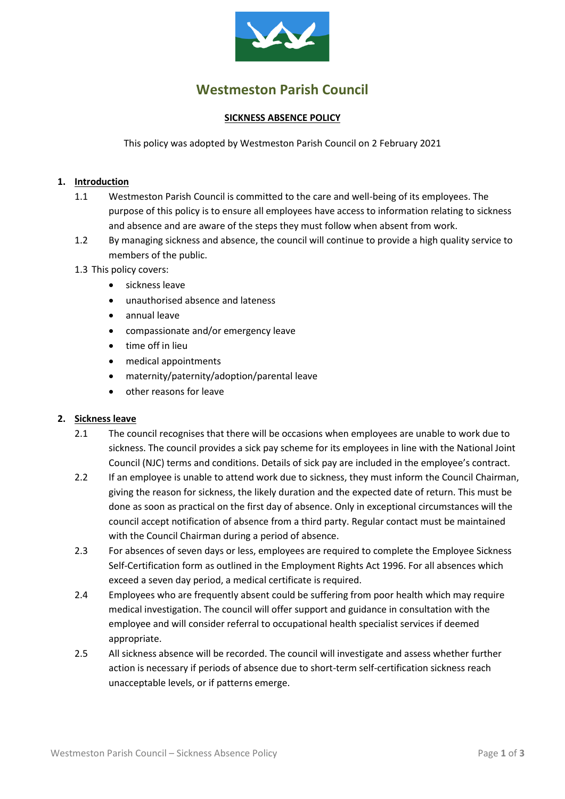

# **Westmeston Parish Council**

#### **SICKNESS ABSENCE POLICY**

This policy was adopted by Westmeston Parish Council on 2 February 2021

#### **1. Introduction**

- 1.1 Westmeston Parish Council is committed to the care and well-being of its employees. The purpose of this policy is to ensure all employees have access to information relating to sickness and absence and are aware of the steps they must follow when absent from work.
- 1.2 By managing sickness and absence, the council will continue to provide a high quality service to members of the public.
- 1.3 This policy covers:
	- sickness leave
	- unauthorised absence and lateness
	- annual leave
	- compassionate and/or emergency leave
	- time off in lieu
	- medical appointments
	- maternity/paternity/adoption/parental leave
	- other reasons for leave

#### **2. Sickness leave**

- 2.1 The council recognises that there will be occasions when employees are unable to work due to sickness. The council provides a sick pay scheme for its employees in line with the National Joint Council (NJC) terms and conditions. Details of sick pay are included in the employee's contract.
- 2.2 If an employee is unable to attend work due to sickness, they must inform the Council Chairman, giving the reason for sickness, the likely duration and the expected date of return. This must be done as soon as practical on the first day of absence. Only in exceptional circumstances will the council accept notification of absence from a third party. Regular contact must be maintained with the Council Chairman during a period of absence.
- 2.3 For absences of seven days or less, employees are required to complete the Employee Sickness Self-Certification form as outlined in the Employment Rights Act 1996. For all absences which exceed a seven day period, a medical certificate is required.
- 2.4 Employees who are frequently absent could be suffering from poor health which may require medical investigation. The council will offer support and guidance in consultation with the employee and will consider referral to occupational health specialist services if deemed appropriate.
- 2.5 All sickness absence will be recorded. The council will investigate and assess whether further action is necessary if periods of absence due to short-term self-certification sickness reach unacceptable levels, or if patterns emerge.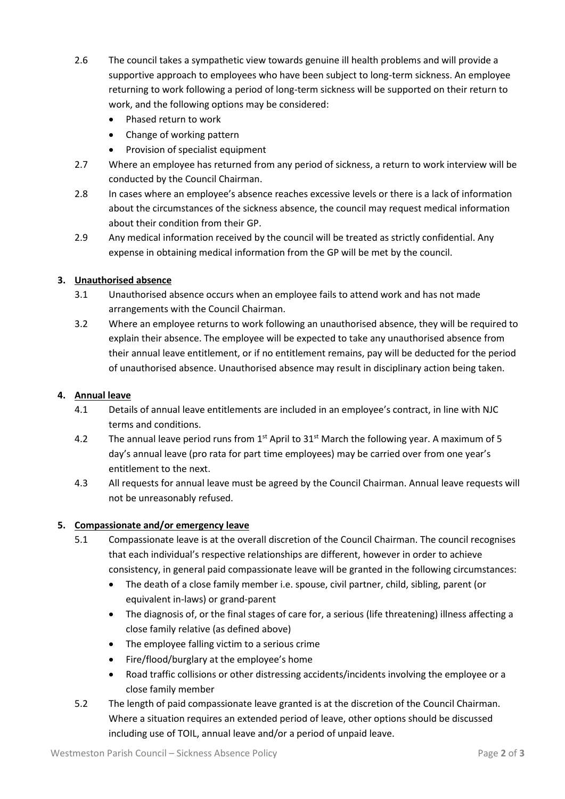- 2.6 The council takes a sympathetic view towards genuine ill health problems and will provide a supportive approach to employees who have been subject to long-term sickness. An employee returning to work following a period of long-term sickness will be supported on their return to work, and the following options may be considered:
	- Phased return to work
	- Change of working pattern
	- Provision of specialist equipment
- 2.7 Where an employee has returned from any period of sickness, a return to work interview will be conducted by the Council Chairman.
- 2.8 In cases where an employee's absence reaches excessive levels or there is a lack of information about the circumstances of the sickness absence, the council may request medical information about their condition from their GP.
- 2.9 Any medical information received by the council will be treated as strictly confidential. Any expense in obtaining medical information from the GP will be met by the council.

## **3. Unauthorised absence**

- 3.1 Unauthorised absence occurs when an employee fails to attend work and has not made arrangements with the Council Chairman.
- 3.2 Where an employee returns to work following an unauthorised absence, they will be required to explain their absence. The employee will be expected to take any unauthorised absence from their annual leave entitlement, or if no entitlement remains, pay will be deducted for the period of unauthorised absence. Unauthorised absence may result in disciplinary action being taken.

#### **4. Annual leave**

- 4.1 Details of annual leave entitlements are included in an employee's contract, in line with NJC terms and conditions.
- 4.2 The annual leave period runs from  $1^{st}$  April to  $31^{st}$  March the following year. A maximum of 5 day's annual leave (pro rata for part time employees) may be carried over from one year's entitlement to the next.
- 4.3 All requests for annual leave must be agreed by the Council Chairman. Annual leave requests will not be unreasonably refused.

## **5. Compassionate and/or emergency leave**

- 5.1 Compassionate leave is at the overall discretion of the Council Chairman. The council recognises that each individual's respective relationships are different, however in order to achieve consistency, in general paid compassionate leave will be granted in the following circumstances:
	- The death of a close family member i.e. spouse, civil partner, child, sibling, parent (or equivalent in-laws) or grand-parent
	- The diagnosis of, or the final stages of care for, a serious (life threatening) illness affecting a close family relative (as defined above)
	- The employee falling victim to a serious crime
	- Fire/flood/burglary at the employee's home
	- Road traffic collisions or other distressing accidents/incidents involving the employee or a close family member
- 5.2 The length of paid compassionate leave granted is at the discretion of the Council Chairman. Where a situation requires an extended period of leave, other options should be discussed including use of TOIL, annual leave and/or a period of unpaid leave.